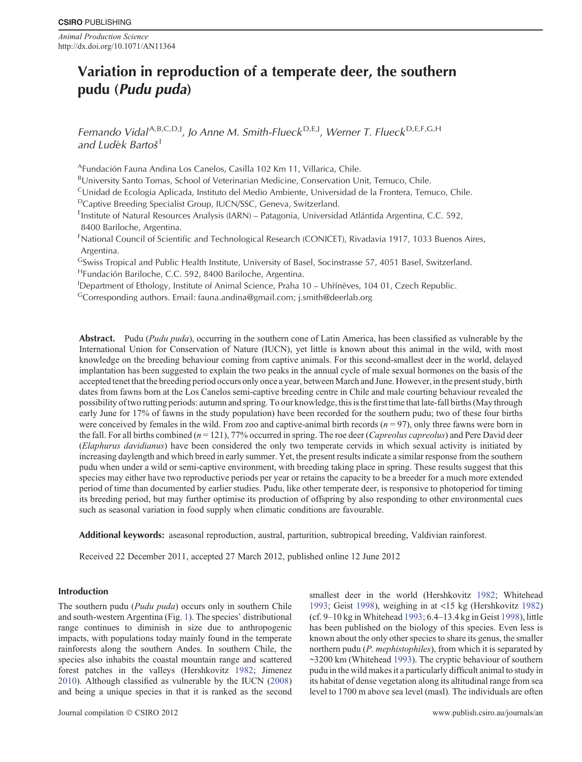*Animal Production Science* http://dx.doi.org/10.1071/AN11364

# **Variation in reproduction of a temperate deer, the southern pudu (***Pudu puda***)**

*Fernando Vidal*A*,*B*,*C*,*D*,*<sup>J</sup> *, Jo Anne M. Smith-Flueck* <sup>D</sup>*,*E*,*<sup>J</sup> *, Werner T. Flueck* <sup>D</sup>*,*E*,*F*,*G*,*<sup>H</sup> *and Ludek Barto š*<sup>I</sup>

AFundación Fauna Andina Los Canelos, Casilla 102 Km 11, Villarica, Chile.

BUniversity Santo Tomas, School of Veterinarian Medicine, Conservation Unit, Temuco, Chile.

<sup>C</sup>Unidad de Ecologia Aplicada, Instituto del Medio Ambiente, Universidad de la Frontera, Temuco, Chile.

DCaptive Breeding Specialist Group, IUCN/SSC, Geneva, Switzerland.

<sup>E</sup>Institute of Natural Resources Analysis (IARN) – Patagonia, Universidad Atlántida Argentina, C.C. 592, 8400 Bariloche, Argentina.

<sup>F</sup>National Council of Scientific and Technological Research (CONICET), Rivadavia 1917, 1033 Buenos Aires, Argentina.

GSwiss Tropical and Public Health Institute, University of Basel, Socinstrasse 57, 4051 Basel, Switzerland. HFundación Bariloche, C.C. 592, 8400 Bariloche, Argentina.

<sup>I</sup>Department of Ethology, Institute of Animal Science, Praha 10 - Uhříněves, 104 01, Czech Republic.

GCorresponding authors. Email: fauna.andina@gmail.com; j.smith@deerlab.org

**Abstract.** Pudu (*Pudu puda*), occurring in the southern cone of Latin America, has been classified as vulnerable by the International Union for Conservation of Nature (IUCN), yet little is known about this animal in the wild, with most knowledge on the breeding behaviour coming from captive animals. For this second-smallest deer in the world, delayed implantation has been suggested to explain the two peaks in the annual cycle of male sexual hormones on the basis of the accepted tenet that the breeding period occurs only once a year, between March and June. However, in the present study, birth dates from fawns born at the Los Canelos semi-captive breeding centre in Chile and male courting behaviour revealed the possibility of two rutting periods: autumn and spring. To our knowledge, this is the first time that late-fall births (May through early June for 17% of fawns in the study population) have been recorded for the southern pudu; two of these four births were conceived by females in the wild. From zoo and captive-animal birth records  $(n = 97)$ , only three fawns were born in the fall. For all births combined (*n* = 121), 77% occurred in spring. The roe deer (*Capreolus capreolus*) and Pere David deer (*Elaphurus davidianus*) have been considered the only two temperate cervids in which sexual activity is initiated by increasing daylength and which breed in early summer. Yet, the present results indicate a similar response from the southern pudu when under a wild or semi-captive environment, with breeding taking place in spring. These results suggest that this species may either have two reproductive periods per year or retains the capacity to be a breeder for a much more extended period of time than documented by earlier studies. Pudu, like other temperate deer, is responsive to photoperiod for timing its breeding period, but may further optimise its production of offspring by also responding to other environmental cues such as seasonal variation in food supply when climatic conditions are favourable.

**Additional keywords:** aseasonal reproduction, austral, parturition, subtropical breeding, Valdivian rainforest.

Received 22 December 2011, accepted 27 March 2012, published online 12 June 2012

## **Introduction**

The southern pudu (*Pudu puda*) occurs only in southern Chile and south-western Argentina (Fig. [1](#page-1-0)). The species' distributional range continues to diminish in size due to anthropogenic impacts, with populations today mainly found in the temperate rainforests along the southern Andes. In southern Chile, the species also inhabits the coastal mountain range and scattered forest patches in the valleys (Hershkovitz [1982](#page-5-0); Jimenez [2010](#page-5-0)). Although classified as vulnerable by the IUCN ([2008\)](#page-5-0) and being a unique species in that it is ranked as the second

smallest deer in the world (Hershkovitz [1982;](#page-5-0) Whitehead [1993;](#page-5-0) Geist [1998](#page-5-0)), weighing in at <15 kg (Hershkovitz [1982\)](#page-5-0) (cf. 9–10 kg in Whitehead [1993;](#page-5-0) 6.4–13.4 kg in Geist [1998\)](#page-5-0), little has been published on the biology of this species. Even less is known about the only other species to share its genus, the smaller northern pudu (*P. mephistophiles*), from which it is separated by ~3200 km (Whitehead [1993](#page-5-0)). The cryptic behaviour of southern pudu in the wild makes it a particularly difficult animal to study in its habitat of dense vegetation along its altitudinal range from sea level to 1700 m above sea level (masl). The individuals are often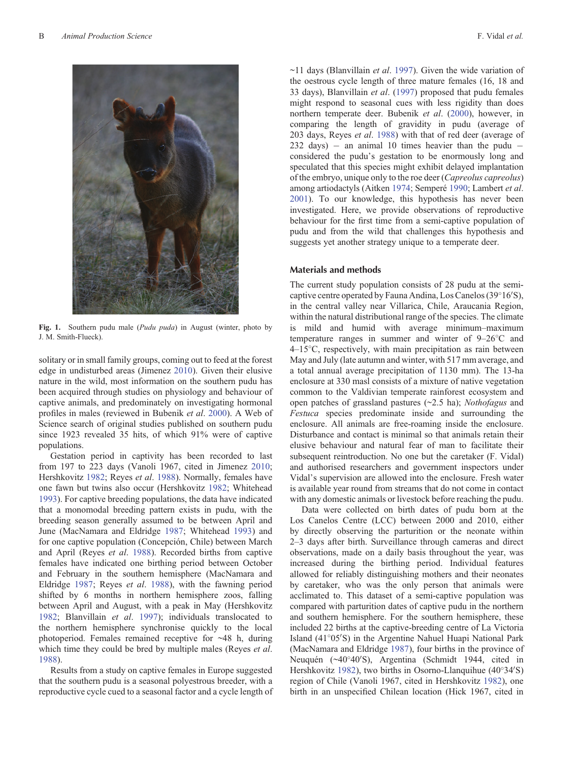<span id="page-1-0"></span>

**Fig. 1.** Southern pudu male (*Pudu puda*) in August (winter, photo by J. M. Smith-Flueck).

solitary or in small family groups, coming out to feed at the forest edge in undisturbed areas (Jimenez [2010](#page-5-0)). Given their elusive nature in the wild, most information on the southern pudu has been acquired through studies on physiology and behaviour of captive animals, and predominately on investigating hormonal profiles in males (reviewed in Bubenik *et al*. [2000](#page-4-0)). A Web of Science search of original studies published on southern pudu since 1923 revealed 35 hits, of which 91% were of captive populations.

Gestation period in captivity has been recorded to last from 197 to 223 days (Vanoli 1967, cited in Jimenez [2010](#page-5-0); Hershkovitz [1982](#page-5-0); Reyes *et al*. [1988\)](#page-5-0). Normally, females have one fawn but twins also occur (Hershkovitz [1982](#page-5-0); Whitehead [1993\)](#page-5-0). For captive breeding populations, the data have indicated that a monomodal breeding pattern exists in pudu, with the breeding season generally assumed to be between April and June (MacNamara and Eldridge [1987](#page-5-0); Whitehead [1993\)](#page-5-0) and for one captive population (Concepción, Chile) between March and April (Reyes *et al*. [1988\)](#page-5-0). Recorded births from captive females have indicated one birthing period between October and February in the southern hemisphere (MacNamara and Eldridge [1987](#page-5-0); Reyes *et al*. [1988](#page-5-0)), with the fawning period shifted by 6 months in northern hemisphere zoos, falling between April and August, with a peak in May (Hershkovitz [1982;](#page-5-0) Blanvillain *et al*. [1997](#page-4-0)); individuals translocated to the northern hemisphere synchronise quickly to the local photoperiod. Females remained receptive for ~48 h, during which time they could be bred by multiple males (Reyes *et al*. [1988\)](#page-5-0).

Results from a study on captive females in Europe suggested that the southern pudu is a seasonal polyestrous breeder, with a reproductive cycle cued to a seasonal factor and a cycle length of

~11 days (Blanvillain *et al*. [1997](#page-4-0)). Given the wide variation of the oestrous cycle length of three mature females (16, 18 and 33 days), Blanvillain *et al*. [\(1997](#page-4-0)) proposed that pudu females might respond to seasonal cues with less rigidity than does northern temperate deer. Bubenik *et al*. ([2000\)](#page-4-0), however, in comparing the length of gravidity in pudu (average of 203 days, Reyes *et al*. [1988](#page-5-0)) with that of red deer (average of  $232 \text{ days}$  - an animal 10 times heavier than the pudu considered the pudu's gestation to be enormously long and speculated that this species might exhibit delayed implantation of the embryo, unique only to the roe deer (*Capreolus capreolus*) among artiodactyls (Aitken [1974;](#page-4-0) Semperé [1990;](#page-5-0) Lambert *et al*. [2001\)](#page-5-0). To our knowledge, this hypothesis has never been investigated. Here, we provide observations of reproductive behaviour for the first time from a semi-captive population of pudu and from the wild that challenges this hypothesis and suggests yet another strategy unique to a temperate deer.

#### **Materials and methods**

The current study population consists of 28 pudu at the semicaptive centre operated by Fauna Andina, Los Canelos  $(39^{\circ}16'S)$ , in the central valley near Villarica, Chile, Araucania Region, within the natural distributional range of the species. The climate is mild and humid with average minimum–maximum temperature ranges in summer and winter of 9–26 C and 4–15 C, respectively, with main precipitation as rain between May and July (late autumn and winter, with 517 mm average, and a total annual average precipitation of 1130 mm). The 13-ha enclosure at 330 masl consists of a mixture of native vegetation common to the Valdivian temperate rainforest ecosystem and open patches of grassland pastures (~2.5 ha); *Nothofagus* and *Festuca* species predominate inside and surrounding the enclosure. All animals are free-roaming inside the enclosure. Disturbance and contact is minimal so that animals retain their elusive behaviour and natural fear of man to facilitate their subsequent reintroduction. No one but the caretaker (F. Vidal) and authorised researchers and government inspectors under Vidal's supervision are allowed into the enclosure. Fresh water is available year round from streams that do not come in contact with any domestic animals or livestock before reaching the pudu.

Data were collected on birth dates of pudu born at the Los Canelos Centre (LCC) between 2000 and 2010, either by directly observing the parturition or the neonate within 2–3 days after birth. Surveillance through cameras and direct observations, made on a daily basis throughout the year, was increased during the birthing period. Individual features allowed for reliably distinguishing mothers and their neonates by caretaker, who was the only person that animals were acclimated to. This dataset of a semi-captive population was compared with parturition dates of captive pudu in the northern and southern hemisphere. For the southern hemisphere, these included 22 births at the captive-breeding centre of La Victoria Island (41°05'S) in the Argentine Nahuel Huapi National Park (MacNamara and Eldridge [1987\)](#page-5-0), four births in the province of Neuquén (~40°40'S), Argentina (Schmidt 1944, cited in Hershkovitz [1982](#page-5-0)), two births in Osorno-Llanquihue  $(40^{\circ}34'S)$ region of Chile (Vanoli 1967, cited in Hershkovitz [1982\)](#page-5-0), one birth in an unspecified Chilean location (Hick 1967, cited in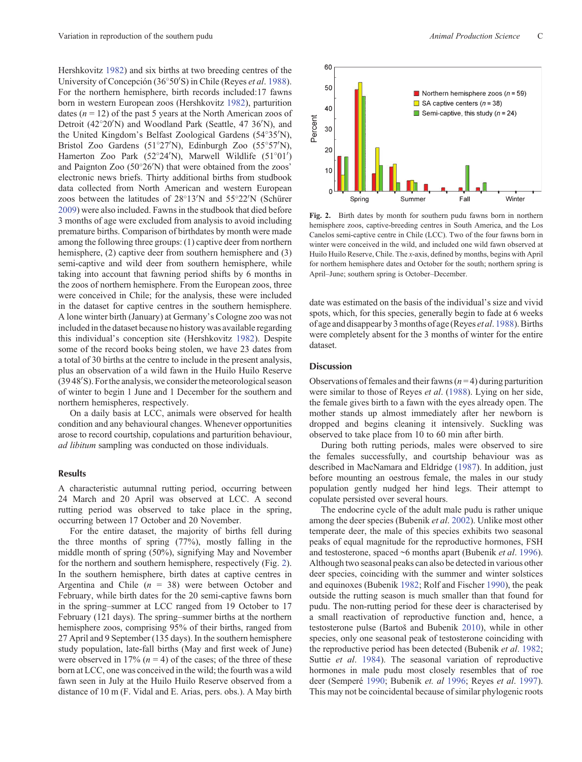Hershkovitz [1982\)](#page-5-0) and six births at two breeding centres of the University of Concepción (36°50'S) in Chile (Reyes *et al.* [1988](#page-5-0)). For the northern hemisphere, birth records included:17 fawns born in western European zoos (Hershkovitz [1982\)](#page-5-0), parturition dates  $(n = 12)$  of the past 5 years at the North American zoos of Detroit (42°20'N) and Woodland Park (Seattle, 47 36'N), and the United Kingdom's Belfast Zoological Gardens (54°35'N), Bristol Zoo Gardens (51°27'N), Edinburgh Zoo (55°57'N), Hamerton Zoo Park  $(52^{\circ}24'N)$ , Marwell Wildlife  $(51^{\circ}01')$ and Paignton Zoo  $(50^{\circ}26'N)$  that were obtained from the zoos' electronic news briefs. Thirty additional births from studbook data collected from North American and western European zoos between the latitudes of  $28^{\circ}13'N$  and  $55^{\circ}22'N$  (Schürer [2009](#page-5-0)) were also included. Fawns in the studbook that died before 3 months of age were excluded from analysis to avoid including premature births. Comparison of birthdates by month were made among the following three groups: (1) captive deer from northern hemisphere, (2) captive deer from southern hemisphere and (3) semi-captive and wild deer from southern hemisphere, while taking into account that fawning period shifts by 6 months in the zoos of northern hemisphere. From the European zoos, three were conceived in Chile; for the analysis, these were included in the dataset for captive centres in the southern hemisphere. A lone winter birth (January) at Germany's Cologne zoo was not included in the dataset because no history was available regarding this individual's conception site (Hershkovitz [1982\)](#page-5-0). Despite some of the record books being stolen, we have 23 dates from a total of 30 births at the centre to include in the present analysis, plus an observation of a wild fawn in the Huilo Huilo Reserve (3948'S). For the analysis, we consider the meteorological season of winter to begin 1 June and 1 December for the southern and northern hemispheres, respectively.

On a daily basis at LCC, animals were observed for health condition and any behavioural changes. Whenever opportunities arose to record courtship, copulations and parturition behaviour, *ad libitum* sampling was conducted on those individuals.

#### **Results**

A characteristic autumnal rutting period, occurring between 24 March and 20 April was observed at LCC. A second rutting period was observed to take place in the spring, occurring between 17 October and 20 November.

For the entire dataset, the majority of births fell during the three months of spring (77%), mostly falling in the middle month of spring (50%), signifying May and November for the northern and southern hemisphere, respectively (Fig. 2). In the southern hemisphere, birth dates at captive centres in Argentina and Chile (*n* = 38) were between October and February, while birth dates for the 20 semi-captive fawns born in the spring–summer at LCC ranged from 19 October to 17 February (121 days). The spring–summer births at the northern hemisphere zoos, comprising 95% of their births, ranged from 27 April and 9 September (135 days). In the southern hemisphere study population, late-fall births (May and first week of June) were observed in 17%  $(n = 4)$  of the cases; of the three of these born at LCC, one was conceived in the wild; the fourth was a wild fawn seen in July at the Huilo Huilo Reserve observed from a distance of 10 m (F. Vidal and E. Arias, pers. obs.). A May birth



**Fig. 2.** Birth dates by month for southern pudu fawns born in northern hemisphere zoos, captive-breeding centres in South America, and the Los Canelos semi-captive centre in Chile (LCC). Two of the four fawns born in winter were conceived in the wild, and included one wild fawn observed at Huilo Huilo Reserve, Chile. The *x*-axis, defined by months, begins with April for northern hemisphere dates and October for the south; northern spring is April–June; southern spring is October–December.

date was estimated on the basis of the individual's size and vivid spots, which, for this species, generally begin to fade at 6 weeks of age and disappear by 3 months of age (Reyes *et al*. [1988](#page-5-0)). Births were completely absent for the 3 months of winter for the entire dataset.

### **Discussion**

Observations of females and their fawns (*n* = 4) during parturition were similar to those of Reyes *et al*. [\(1988](#page-5-0)). Lying on her side, the female gives birth to a fawn with the eyes already open. The mother stands up almost immediately after her newborn is dropped and begins cleaning it intensively. Suckling was observed to take place from 10 to 60 min after birth.

During both rutting periods, males were observed to sire the females successfully, and courtship behaviour was as described in MacNamara and Eldridge ([1987\)](#page-5-0). In addition, just before mounting an oestrous female, the males in our study population gently nudged her hind legs. Their attempt to copulate persisted over several hours.

The endocrine cycle of the adult male pudu is rather unique among the deer species (Bubenik *et al*. [2002](#page-4-0)). Unlike most other temperate deer, the male of this species exhibits two seasonal peaks of equal magnitude for the reproductive hormones, FSH and testosterone, spaced ~6 months apart (Bubenik *et al*. [1996](#page-4-0)). Although two seasonal peaks can also be detected in various other deer species, coinciding with the summer and winter solstices and equinoxes (Bubenik [1982;](#page-4-0) Rolf and Fischer [1990\)](#page-5-0), the peak outside the rutting season is much smaller than that found for pudu. The non-rutting period for these deer is characterised by a small reactivation of reproductive function and, hence, a testosterone pulse (Bartoš and Bubenik [2010\)](#page-4-0), while in other species, only one seasonal peak of testosterone coinciding with the reproductive period has been detected (Bubenik *et al*. [1982](#page-4-0); Suttie *et al*. [1984](#page-5-0)). The seasonal variation of reproductive hormones in male pudu most closely resembles that of roe deer (Semperé [1990;](#page-5-0) Bubenik *et. al* [1996;](#page-4-0) Reyes *et al*. [1997](#page-5-0)). This may not be coincidental because of similar phylogenic roots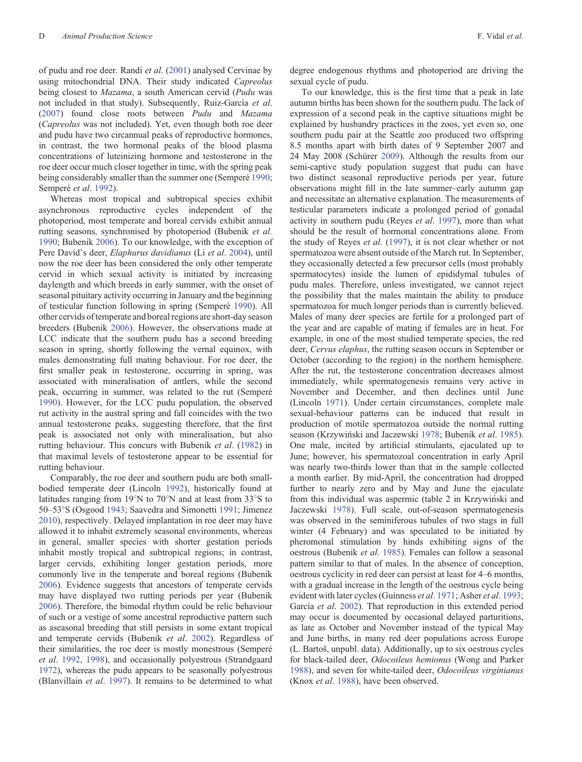of pudu and roe deer. Randi *et al*. ([2001\)](#page-5-0) analysed Cervinae by using mitochondrial DNA. Their study indicated *Capreolus* being closest to *Mazama*, a south American cervid (*Pudu* was not included in that study). Subsequently, Ruiz-García *et al*. ([2007\)](#page-5-0) found close roots between *Pudu* and *Mazama* (*Capreolus* was not included). Yet, even though both roe deer and pudu have two circannual peaks of reproductive hormones, in contrast, the two hormonal peaks of the blood plasma concentrations of luteinizing hormone and testosterone in the roe deer occur much closer together in time, with the spring peak being considerably smaller than the summer one (Semperé [1990](#page-5-0); Semperé *et al*. [1992\)](#page-5-0).

Whereas most tropical and subtropical species exhibit asynchronous reproductive cycles independent of the photoperiod, most temperate and boreal cervids exhibit annual rutting seasons, synchronised by photoperiod (Bubenik *et al.* [1990;](#page-4-0) Bubenik [2006\)](#page-4-0). To our knowledge, with the exception of Pere David's deer, *Elaphurus davidianus* (Li *et al*. [2004](#page-5-0)), until now the roe deer has been considered the only other temperate cervid in which sexual activity is initiated by increasing daylength and which breeds in early summer, with the onset of seasonal pituitary activity occurring in January and the beginning of testicular function following in spring (Semperé [1990](#page-5-0)). All other cervids of temperate and boreal regions are short-day season breeders (Bubenik [2006](#page-4-0)). However, the observations made at LCC indicate that the southern pudu has a second breeding season in spring, shortly following the vernal equinox, with males demonstrating full mating behaviour. For roe deer, the first smaller peak in testosterone, occurring in spring, was associated with mineralisation of antlers, while the second peak, occurring in summer, was related to the rut (Semperé [1990\)](#page-5-0). However, for the LCC pudu population, the observed rut activity in the austral spring and fall coincides with the two annual testosterone peaks, suggesting therefore, that the first peak is associated not only with mineralisation, but also rutting behaviour. This concurs with Bubenik *et al*. [\(1982\)](#page-4-0) in that maximal levels of testosterone appear to be essential for rutting behaviour.

Comparably, the roe deer and southern pudu are both smallbodied temperate deer (Lincoln [1992](#page-5-0)), historically found at latitudes ranging from 19°N to 70°N and at least from 33°S to 50–53 S (Osgood [1943;](#page-5-0) Saavedra and Simonetti [1991](#page-5-0); Jimenez [2010\)](#page-5-0), respectively. Delayed implantation in roe deer may have allowed it to inhabit extremely seasonal environments, whereas in general, smaller species with shorter gestation periods inhabit mostly tropical and subtropical regions; in contrast, larger cervids, exhibiting longer gestation periods, more commonly live in the temperate and boreal regions (Bubenik [2006\)](#page-4-0). Evidence suggests that ancestors of temperate cervids may have displayed two rutting periods per year (Bubenik [2006\)](#page-4-0). Therefore, the bimodal rhythm could be relic behaviour of such or a vestige of some ancestral reproductive pattern such as aseasonal breeding that still persists in some extant tropical and temperate cervids (Bubenik *et al*. [2002](#page-4-0)). Regardless of their similarities, the roe deer is mostly monestrous (Semperé *et al*. [1992](#page-5-0), [1998\)](#page-5-0), and occasionally polyestrous (Strandgaard [1972\)](#page-5-0), whereas the pudu appears to be seasonally polyestrous (Blanvillain *et al*. [1997\)](#page-4-0). It remains to be determined to what degree endogenous rhythms and photoperiod are driving the sexual cycle of pudu.

To our knowledge, this is the first time that a peak in late autumn births has been shown for the southern pudu. The lack of expression of a second peak in the captive situations might be explained by husbandry practices in the zoos, yet even so, one southern pudu pair at the Seattle zoo produced two offspring 8.5 months apart with birth dates of 9 September 2007 and 24 May 2008 (Schürer [2009\)](#page-5-0). Although the results from our semi-captive study population suggest that pudu can have two distinct seasonal reproductive periods per year, future observations might fill in the late summer–early autumn gap and necessitate an alternative explanation. The measurements of testicular parameters indicate a prolonged period of gonadal activity in southern pudu (Reyes *et al*. [1997](#page-5-0)), more than what should be the result of hormonal concentrations alone. From the study of Reyes *et al*. ([1997\)](#page-5-0), it is not clear whether or not spermatozoa were absent outside of the March rut. In September, they occasionally detected a few precursor cells (most probably spermatocytes) inside the lumen of epididymal tubules of pudu males. Therefore, unless investigated, we cannot reject the possibility that the males maintain the ability to produce spermatozoa for much longer periods than is currently believed. Males of many deer species are fertile for a prolonged part of the year and are capable of mating if females are in heat. For example, in one of the most studied temperate species, the red deer, *Cervus elaphus*, the rutting season occurs in September or October (according to the region) in the northern hemisphere. After the rut, the testosterone concentration decreases almost immediately, while spermatogenesis remains very active in November and December, and then declines until June (Lincoln [1971](#page-5-0)). Under certain circumstances, complete male sexual-behaviour patterns can be induced that result in production of motile spermatozoa outside the normal rutting season (Krzywinski and Jaczewski [1978;](#page-5-0) Bubenik *et al*. [1985](#page-4-0)). One male, incited by artificial stimulants, ejaculated up to June; however, his spermatozoal concentration in early April was nearly two-thirds lower than that in the sample collected a month earlier. By mid-April, the concentration had dropped further to nearly zero and by May and June the ejaculate from this individual was aspermic (table 2 in Krzywinski and Jaczewski [1978](#page-5-0)). Full scale, out-of-season spermatogenesis was observed in the seminiferous tubules of two stags in full winter (4 February) and was speculated to be initiated by pheromonal stimulation by hinds exhibiting signs of the oestrous (Bubenik *et al*. [1985](#page-4-0)). Females can follow a seasonal pattern similar to that of males. In the absence of conception, oestrous cyclicity in red deer can persist at least for 4–6 months, with a gradual increase in the length of the oestrous cycle being evident with later cycles (Guinness *et al*. [1971](#page-5-0); Asher *et al*. [1993](#page-4-0); García *et al*. [2002\)](#page-5-0). That reproduction in this extended period may occur is documented by occasional delayed parturitions, as late as October and November instead of the typical May and June births, in many red deer populations across Europe (L. Bartoš, unpubl. data). Additionally, up to six oestrous cycles for black-tailed deer, *Odocoileus hemionus* (Wong and Parker [1988\)](#page-5-0), and seven for white-tailed deer, *Odocoileus virginianus* (Knox *et al*. [1988\)](#page-5-0), have been observed.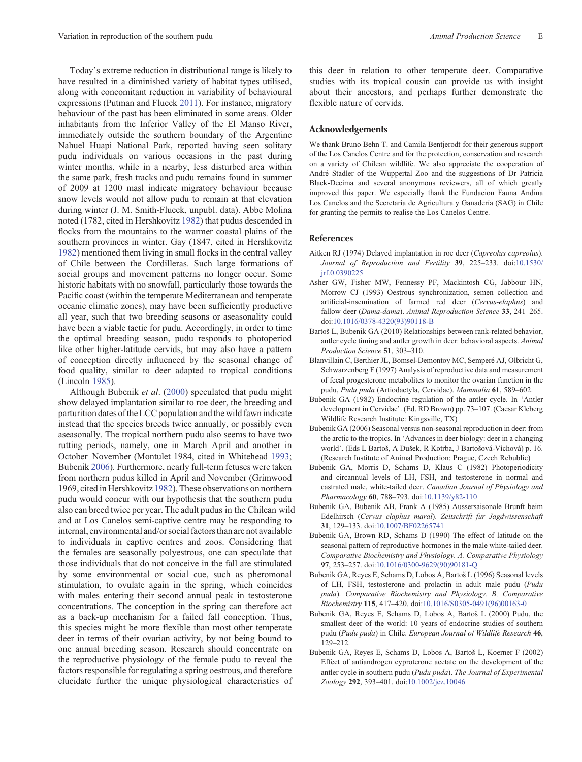<span id="page-4-0"></span>Today's extreme reduction in distributional range is likely to have resulted in a diminished variety of habitat types utilised, along with concomitant reduction in variability of behavioural expressions (Putman and Flueck [2011\)](#page-5-0). For instance, migratory behaviour of the past has been eliminated in some areas. Older inhabitants from the Inferior Valley of the El Manso River, immediately outside the southern boundary of the Argentine Nahuel Huapi National Park, reported having seen solitary pudu individuals on various occasions in the past during winter months, while in a nearby, less disturbed area within the same park, fresh tracks and pudu remains found in summer of 2009 at 1200 masl indicate migratory behaviour because snow levels would not allow pudu to remain at that elevation during winter (J. M. Smith-Flueck, unpubl. data). Abbe Molina noted (1782, cited in Hershkovitz [1982\)](#page-5-0) that pudus descended in flocks from the mountains to the warmer coastal plains of the southern provinces in winter. Gay (1847, cited in Hershkovitz [1982](#page-5-0)) mentioned them living in small flocks in the central valley of Chile between the Cordilleras. Such large formations of social groups and movement patterns no longer occur. Some historic habitats with no snowfall, particularly those towards the Pacific coast (within the temperate Mediterranean and temperate oceanic climatic zones), may have been sufficiently productive all year, such that two breeding seasons or aseasonality could have been a viable tactic for pudu. Accordingly, in order to time the optimal breeding season, pudu responds to photoperiod like other higher-latitude cervids, but may also have a pattern of conception directly influenced by the seasonal change of food quality, similar to deer adapted to tropical conditions (Lincoln [1985](#page-5-0)).

Although Bubenik *et al*. (2000) speculated that pudu might show delayed implantation similar to roe deer, the breeding and parturition dates of the LCC population and the wild fawn indicate instead that the species breeds twice annually, or possibly even aseasonally. The tropical northern pudu also seems to have two rutting periods, namely, one in March–April and another in October–November (Montulet 1984, cited in Whitehead [1993](#page-5-0); Bubenik 2006). Furthermore, nearly full-term fetuses were taken from northern pudus killed in April and November (Grimwood 1969, cited in Hershkovitz [1982\)](#page-5-0). These observations on northern pudu would concur with our hypothesis that the southern pudu also can breed twice per year. The adult pudus in the Chilean wild and at Los Canelos semi-captive centre may be responding to internal, environmental and/or social factors than are not available to individuals in captive centres and zoos. Considering that the females are seasonally polyestrous, one can speculate that those individuals that do not conceive in the fall are stimulated by some environmental or social cue, such as pheromonal stimulation, to ovulate again in the spring, which coincides with males entering their second annual peak in testosterone concentrations. The conception in the spring can therefore act as a back-up mechanism for a failed fall conception. Thus, this species might be more flexible than most other temperate deer in terms of their ovarian activity, by not being bound to one annual breeding season. Research should concentrate on the reproductive physiology of the female pudu to reveal the factors responsible for regulating a spring oestrous, and therefore elucidate further the unique physiological characteristics of

this deer in relation to other temperate deer. Comparative studies with its tropical cousin can provide us with insight about their ancestors, and perhaps further demonstrate the flexible nature of cervids.

#### **Acknowledgements**

We thank Bruno Behn T, and Camila Bentierodt for their generous support of the Los Canelos Centre and for the protection, conservation and research on a variety of Chilean wildlife. We also appreciate the cooperation of André Stadler of the Wuppertal Zoo and the suggestions of Dr Patricia Black-Decima and several anonymous reviewers, all of which greatly improved this paper. We especially thank the Fundacion Fauna Andina Los Canelos and the Secretaria de Agricultura y Ganadería (SAG) in Chile for granting the permits to realise the Los Canelos Centre.

#### **References**

- Aitken RJ (1974) Delayed implantation in roe deer (*Capreolus capreolus*). *Journal of Reproduction and Fertility* **39**, 225–233. doi:[10.1530/](dx.doi.org/10.1530/jrf.0.0390225) [jrf.0.0390225](dx.doi.org/10.1530/jrf.0.0390225)
- Asher GW, Fisher MW, Fennessy PF, Mackintosh CG, Jabbour HN, Morrow CJ (1993) Oestrous synchronization, semen collection and artificial-insemination of farmed red deer (*Cervus-elaphus*) and fallow deer (*Dama-dama*). *Animal Reproduction Science* **33**, 241–265. doi:[10.1016/0378-4320\(93\)90118-B](dx.doi.org/10.1016/0378-4320(93)90118-B)
- Bartoš L, Bubenik GA (2010) Relationships between rank-related behavior, antler cycle timing and antler growth in deer: behavioral aspects. *Animal Production Science* **51**, 303–310.
- Blanvillain C, Berthier JL, Bomsel-Demontoy MC, Semperé AJ, Olbricht G, Schwarzenberg F (1997) Analysis of reproductive data and measurement of fecal progesterone metabolites to monitor the ovarian function in the pudu, *Pudu puda* (Artiodactyla, Cervidae). *Mammalia* **61**, 589–602.
- Bubenik GA (1982) Endocrine regulation of the antler cycle. In 'Antler development in Cervidae'. (Ed. RD Brown) pp. 73–107. (Caesar Kleberg Wildlife Research Institute: Kingsville, TX)
- Bubenik GA (2006) Seasonal versus non-seasonal reproduction in deer: from the arctic to the tropics. In 'Advances in deer biology: deer in a changing world'. (Eds L Bartoš, A Dušek, R Kotrba, J Bartošová-Víchová) p. 16. (Research Institute of Animal Production: Prague, Czech Rebublic)
- Bubenik GA, Morris D, Schams D, Klaus C (1982) Photoperiodicity and circannual levels of LH, FSH, and testosterone in normal and castrated male, white-tailed deer. *Canadian Journal of Physiology and Pharmacology* **60**, 788–793. doi:[10.1139/y82-110](dx.doi.org/10.1139/y82-110)
- Bubenik GA, Bubenik AB, Frank A (1985) Aussersaisonale Brunft beim Edelhirsch (*Cervus elaphus maral*). *Zeitschrift fur Jagdwissenschaft* **31**, 129–133. doi:[10.1007/BF02265741](dx.doi.org/10.1007/BF02265741)
- Bubenik GA, Brown RD, Schams D (1990) The effect of latitude on the seasonal pattern of reproductive hormones in the male white-tailed deer. *Comparative Biochemistry and Physiology. A. Comparative Physiology* **97**, 253–257. doi:[10.1016/0300-9629\(90\)90181-Q](dx.doi.org/10.1016/0300-9629(90)90181-Q)
- Bubenik GA, Reyes E, Schams D, Lobos A, Bartoš L (1996) Seasonal levels of LH, FSH, testosterone and prolactin in adult male pudu (*Pudu puda*). *Comparative Biochemistry and Physiology. B, Comparative Biochemistry* **115**, 417–420. doi:[10.1016/S0305-0491\(96\)00163-0](dx.doi.org/10.1016/S0305-0491(96)00163-0)
- Bubenik GA, Reyes E, Schams D, Lobos A, Bartoš L (2000) Pudu, the smallest deer of the world: 10 years of endocrine studies of southern pudu (*Pudu puda*) in Chile. *European Journal of Wildlife Research* **46**, 129–212.
- Bubenik GA, Reyes E, Schams D, Lobos A, Bartoš L, Koerner F (2002) Effect of antiandrogen cyproterone acetate on the development of the antler cycle in southern pudu (*Pudu puda*). *The Journal of Experimental Zoology* **292**, 393–401. doi[:10.1002/jez.10046](dx.doi.org/10.1002/jez.10046)